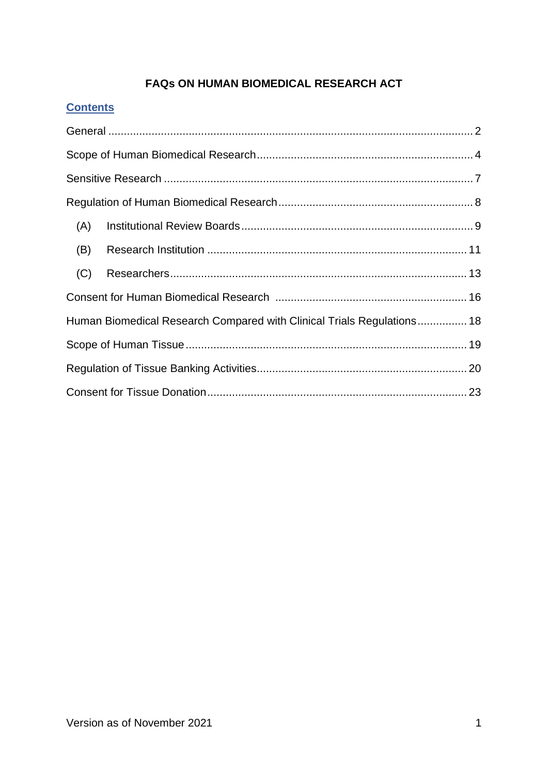# **FAQs ON HUMAN BIOMEDICAL RESEARCH ACT**

# **Contents**

| (A)                                                                    |  |  |
|------------------------------------------------------------------------|--|--|
| (B)                                                                    |  |  |
| (C)                                                                    |  |  |
|                                                                        |  |  |
| Human Biomedical Research Compared with Clinical Trials Regulations 18 |  |  |
|                                                                        |  |  |
|                                                                        |  |  |
|                                                                        |  |  |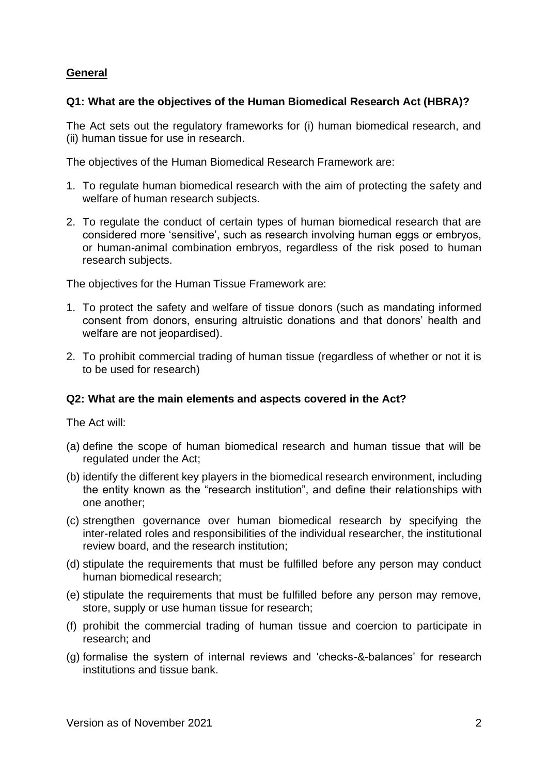# <span id="page-1-0"></span>**General**

# **Q1: What are the objectives of the Human Biomedical Research Act (HBRA)?**

The Act sets out the regulatory frameworks for (i) human biomedical research, and (ii) human tissue for use in research.

The objectives of the Human Biomedical Research Framework are:

- 1. To regulate human biomedical research with the aim of protecting the safety and welfare of human research subjects.
- 2. To regulate the conduct of certain types of human biomedical research that are considered more 'sensitive', such as research involving human eggs or embryos, or human-animal combination embryos, regardless of the risk posed to human research subjects.

The objectives for the Human Tissue Framework are:

- 1. To protect the safety and welfare of tissue donors (such as mandating informed consent from donors, ensuring altruistic donations and that donors' health and welfare are not jeopardised).
- 2. To prohibit commercial trading of human tissue (regardless of whether or not it is to be used for research)

# **Q2: What are the main elements and aspects covered in the Act?**

The Act will:

- (a) define the scope of human biomedical research and human tissue that will be regulated under the Act;
- (b) identify the different key players in the biomedical research environment, including the entity known as the "research institution", and define their relationships with one another;
- (c) strengthen governance over human biomedical research by specifying the inter-related roles and responsibilities of the individual researcher, the institutional review board, and the research institution;
- (d) stipulate the requirements that must be fulfilled before any person may conduct human biomedical research;
- (e) stipulate the requirements that must be fulfilled before any person may remove, store, supply or use human tissue for research;
- (f) prohibit the commercial trading of human tissue and coercion to participate in research; and
- (g) formalise the system of internal reviews and 'checks-&-balances' for research institutions and tissue bank.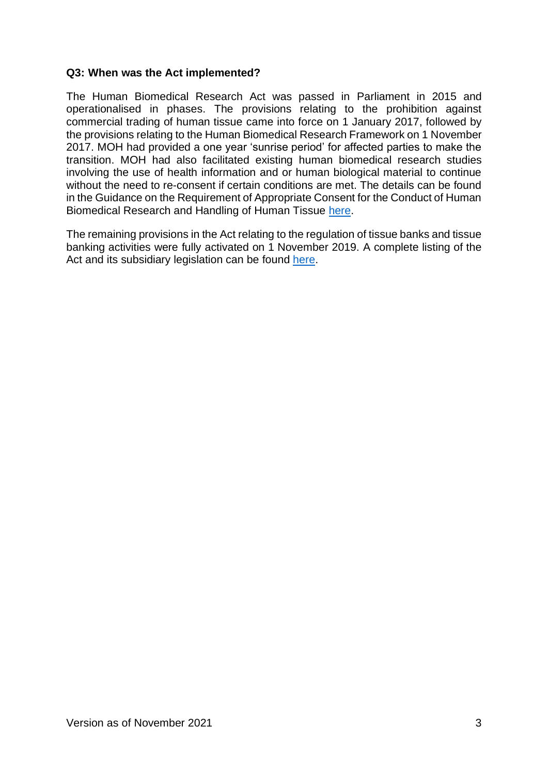### **Q3: When was the Act implemented?**

The Human Biomedical Research Act was passed in Parliament in 2015 and operationalised in phases. The provisions relating to the prohibition against commercial trading of human tissue came into force on 1 January 2017, followed by the provisions relating to the Human Biomedical Research Framework on 1 November 2017. MOH had provided a one year 'sunrise period' for affected parties to make the transition. MOH had also facilitated existing human biomedical research studies involving the use of health information and or human biological material to continue without the need to re-consent if certain conditions are met. The details can be found in the Guidance on the Requirement of Appropriate Consent for the Conduct of Human Biomedical Research and Handling of Human Tissue [here.](https://www.moh.gov.sg/docs/librariesprovider5/legislation/guidance-on-appropriate-consent_17-may-2019.pdf)

The remaining provisions in the Act relating to the regulation of tissue banks and tissue banking activities were fully activated on 1 November 2019. A complete listing of the Act and its subsidiary legislation can be found [here.](https://www.moh.gov.sg/policies-and-legislation/human-biomedical-research-act)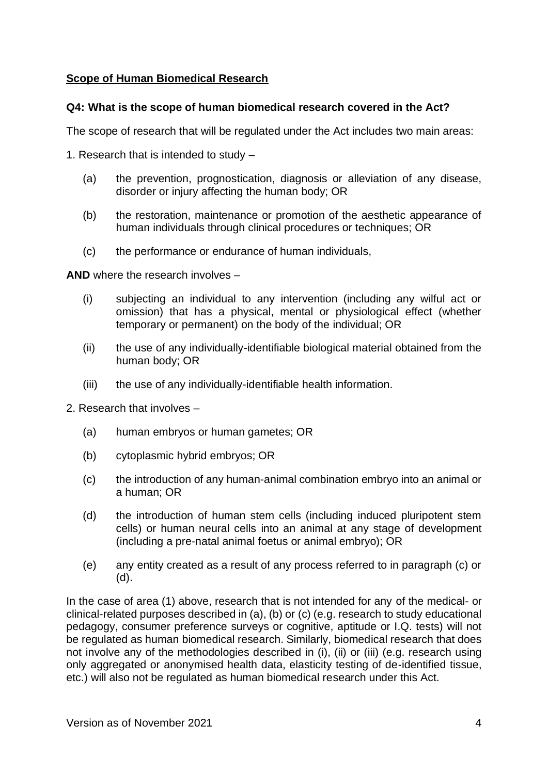# <span id="page-3-0"></span>**Scope of Human Biomedical Research**

## **Q4: What is the scope of human biomedical research covered in the Act?**

The scope of research that will be regulated under the Act includes two main areas:

1. Research that is intended to study –

- (a) the prevention, prognostication, diagnosis or alleviation of any disease, disorder or injury affecting the human body; OR
- (b) the restoration, maintenance or promotion of the aesthetic appearance of human individuals through clinical procedures or techniques; OR
- (c) the performance or endurance of human individuals,

**AND** where the research involves –

- (i) subjecting an individual to any intervention (including any wilful act or omission) that has a physical, mental or physiological effect (whether temporary or permanent) on the body of the individual; OR
- (ii) the use of any individually-identifiable biological material obtained from the human body; OR
- (iii) the use of any individually-identifiable health information.
- 2. Research that involves
	- (a) human embryos or human gametes; OR
	- (b) cytoplasmic hybrid embryos; OR
	- (c) the introduction of any human-animal combination embryo into an animal or a human; OR
	- (d) the introduction of human stem cells (including induced pluripotent stem cells) or human neural cells into an animal at any stage of development (including a pre-natal animal foetus or animal embryo); OR
	- (e) any entity created as a result of any process referred to in paragraph (c) or (d).

In the case of area (1) above, research that is not intended for any of the medical- or clinical-related purposes described in (a), (b) or (c) (e.g. research to study educational pedagogy, consumer preference surveys or cognitive, aptitude or I.Q. tests) will not be regulated as human biomedical research. Similarly, biomedical research that does not involve any of the methodologies described in (i), (ii) or (iii) (e.g. research using only aggregated or anonymised health data, elasticity testing of de-identified tissue, etc.) will also not be regulated as human biomedical research under this Act.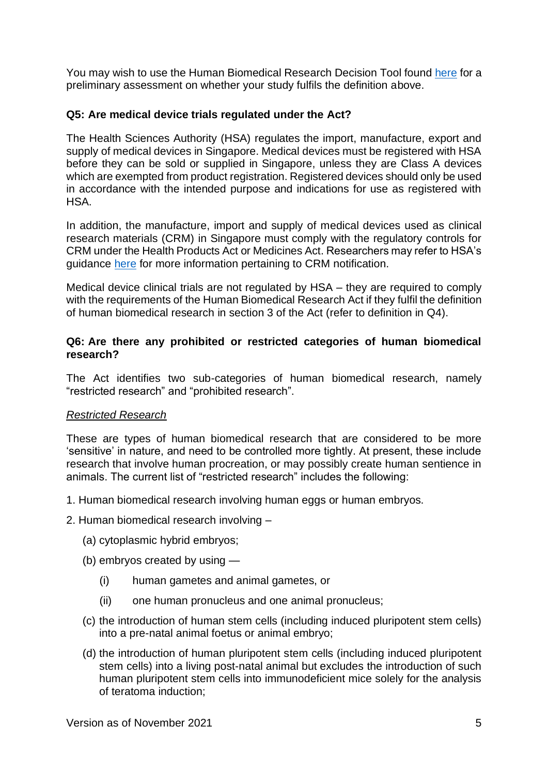You may wish to use the Human Biomedical Research Decision Tool found [here](https://www.moh.gov.sg/policies-and-legislation/human-biomedical-research-act/decision-tool-on-the-human-biomedical-research-framework) for a preliminary assessment on whether your study fulfils the definition above.

# **Q5: Are medical device trials regulated under the Act?**

The Health Sciences Authority (HSA) regulates the import, manufacture, export and supply of medical devices in Singapore. Medical devices must be registered with HSA before they can be sold or supplied in Singapore, unless they are Class A devices which are exempted from product registration. Registered devices should only be used in accordance with the intended purpose and indications for use as registered with **HSA** 

In addition, the manufacture, import and supply of medical devices used as clinical research materials (CRM) in Singapore must comply with the regulatory controls for CRM under the Health Products Act or Medicines Act. Researchers may refer to HSA's guidance [here](https://www.hsa.gov.sg/clinical-trials/overview#crm-regulations) for more information pertaining to CRM notification.

Medical device clinical trials are not regulated by HSA – they are required to comply with the requirements of the Human Biomedical Research Act if they fulfil the definition of human biomedical research in section 3 of the Act (refer to definition in Q4).

## **Q6: Are there any prohibited or restricted categories of human biomedical research?**

The Act identifies two sub-categories of human biomedical research, namely "restricted research" and "prohibited research".

## *Restricted Research*

These are types of human biomedical research that are considered to be more 'sensitive' in nature, and need to be controlled more tightly. At present, these include research that involve human procreation, or may possibly create human sentience in animals. The current list of "restricted research" includes the following:

- 1. Human biomedical research involving human eggs or human embryos.
- 2. Human biomedical research involving
	- (a) cytoplasmic hybrid embryos;
	- (b) embryos created by using
		- (i) human gametes and animal gametes, or
		- (ii) one human pronucleus and one animal pronucleus;
	- (c) the introduction of human stem cells (including induced pluripotent stem cells) into a pre-natal animal foetus or animal embryo;
	- (d) the introduction of human pluripotent stem cells (including induced pluripotent stem cells) into a living post-natal animal but excludes the introduction of such human pluripotent stem cells into immunodeficient mice solely for the analysis of teratoma induction;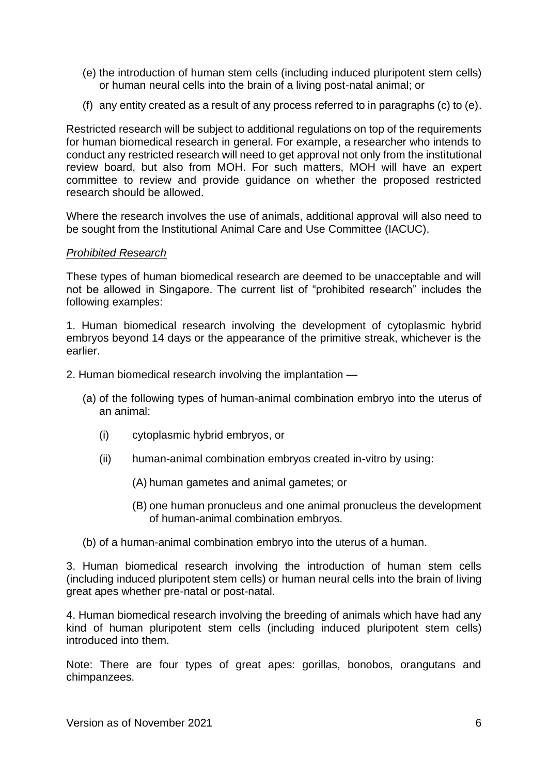- (e) the introduction of human stem cells (including induced pluripotent stem cells) or human neural cells into the brain of a living post-natal animal; or
- (f) any entity created as a result of any process referred to in paragraphs (c) to (e).

Restricted research will be subject to additional regulations on top of the requirements for human biomedical research in general. For example, a researcher who intends to conduct any restricted research will need to get approval not only from the institutional review board, but also from MOH. For such matters, MOH will have an expert committee to review and provide guidance on whether the proposed restricted research should be allowed.

Where the research involves the use of animals, additional approval will also need to be sought from the Institutional Animal Care and Use Committee (IACUC).

## *Prohibited Research*

These types of human biomedical research are deemed to be unacceptable and will not be allowed in Singapore. The current list of "prohibited research" includes the following examples:

1. Human biomedical research involving the development of cytoplasmic hybrid embryos beyond 14 days or the appearance of the primitive streak, whichever is the earlier.

- 2. Human biomedical research involving the implantation
	- (a) of the following types of human-animal combination embryo into the uterus of an animal:
		- (i) cytoplasmic hybrid embryos, or
		- (ii) human-animal combination embryos created in-vitro by using:
			- (A) human gametes and animal gametes; or
			- (B) one human pronucleus and one animal pronucleus the development of human-animal combination embryos.
	- (b) of a human-animal combination embryo into the uterus of a human.

3. Human biomedical research involving the introduction of human stem cells (including induced pluripotent stem cells) or human neural cells into the brain of living great apes whether pre-natal or post-natal.

4. Human biomedical research involving the breeding of animals which have had any kind of human pluripotent stem cells (including induced pluripotent stem cells) introduced into them.

Note: There are four types of great apes: gorillas, bonobos, orangutans and chimpanzees.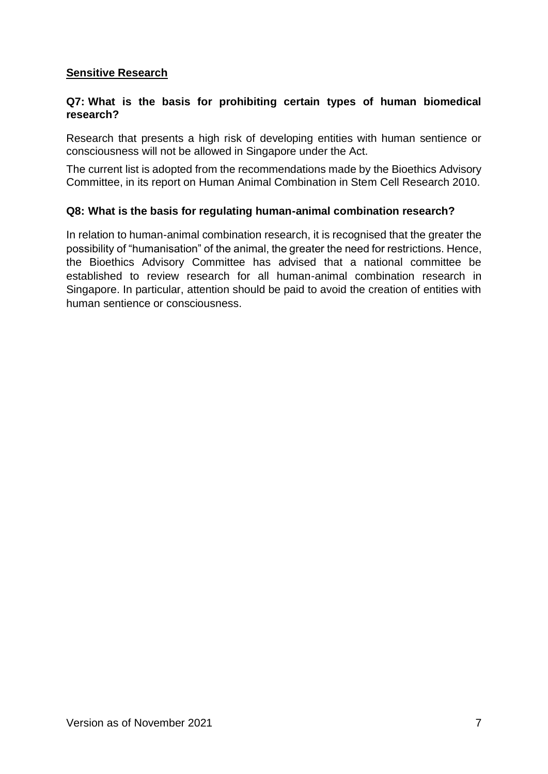# <span id="page-6-0"></span>**Sensitive Research**

# **Q7: What is the basis for prohibiting certain types of human biomedical research?**

Research that presents a high risk of developing entities with human sentience or consciousness will not be allowed in Singapore under the Act.

The current list is adopted from the recommendations made by the Bioethics Advisory Committee, in its report on Human Animal Combination in Stem Cell Research 2010.

## **Q8: What is the basis for regulating human-animal combination research?**

In relation to human-animal combination research, it is recognised that the greater the possibility of "humanisation" of the animal, the greater the need for restrictions. Hence, the Bioethics Advisory Committee has advised that a national committee be established to review research for all human-animal combination research in Singapore. In particular, attention should be paid to avoid the creation of entities with human sentience or consciousness.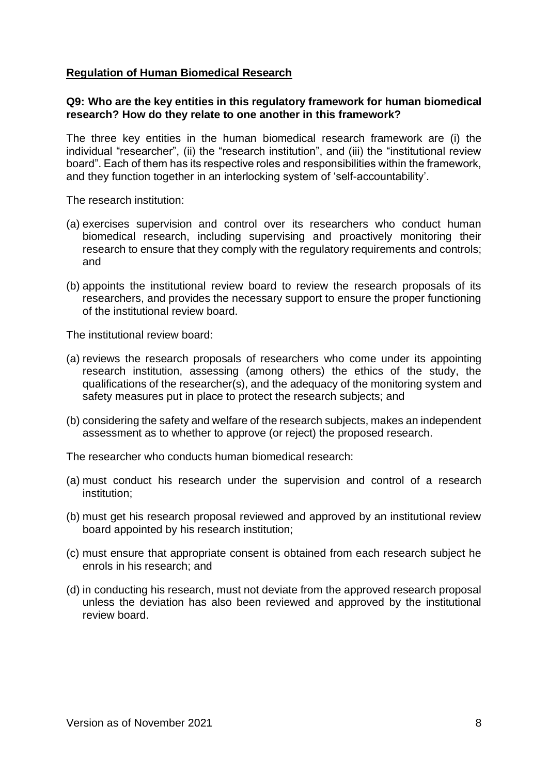# <span id="page-7-0"></span>**Regulation of Human Biomedical Research**

## **Q9: Who are the key entities in this regulatory framework for human biomedical research? How do they relate to one another in this framework?**

The three key entities in the human biomedical research framework are (i) the individual "researcher", (ii) the "research institution", and (iii) the "institutional review board". Each of them has its respective roles and responsibilities within the framework, and they function together in an interlocking system of 'self-accountability'.

The research institution:

- (a) exercises supervision and control over its researchers who conduct human biomedical research, including supervising and proactively monitoring their research to ensure that they comply with the regulatory requirements and controls; and
- (b) appoints the institutional review board to review the research proposals of its researchers, and provides the necessary support to ensure the proper functioning of the institutional review board.

The institutional review board:

- (a) reviews the research proposals of researchers who come under its appointing research institution, assessing (among others) the ethics of the study, the qualifications of the researcher(s), and the adequacy of the monitoring system and safety measures put in place to protect the research subjects; and
- (b) considering the safety and welfare of the research subjects, makes an independent assessment as to whether to approve (or reject) the proposed research.

The researcher who conducts human biomedical research:

- (a) must conduct his research under the supervision and control of a research institution;
- (b) must get his research proposal reviewed and approved by an institutional review board appointed by his research institution;
- (c) must ensure that appropriate consent is obtained from each research subject he enrols in his research; and
- (d) in conducting his research, must not deviate from the approved research proposal unless the deviation has also been reviewed and approved by the institutional review board.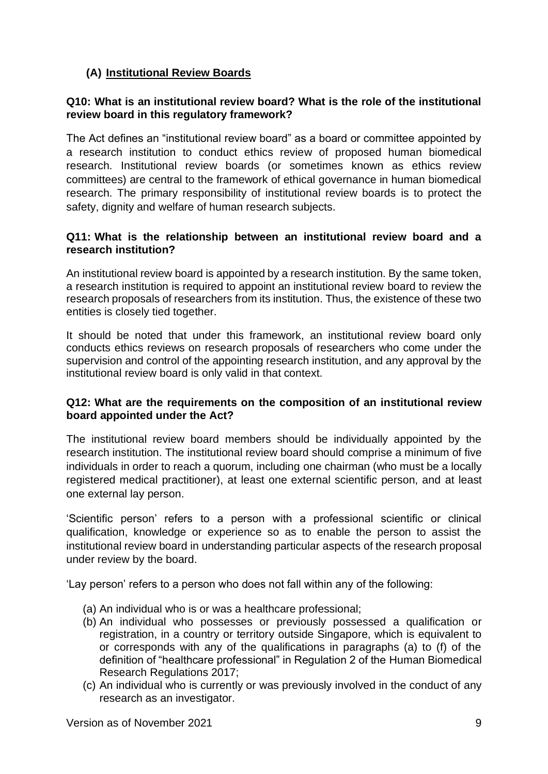# <span id="page-8-0"></span>**(A) Institutional Review Boards**

# **Q10: What is an institutional review board? What is the role of the institutional review board in this regulatory framework?**

The Act defines an "institutional review board" as a board or committee appointed by a research institution to conduct ethics review of proposed human biomedical research. Institutional review boards (or sometimes known as ethics review committees) are central to the framework of ethical governance in human biomedical research. The primary responsibility of institutional review boards is to protect the safety, dignity and welfare of human research subjects.

## **Q11: What is the relationship between an institutional review board and a research institution?**

An institutional review board is appointed by a research institution. By the same token, a research institution is required to appoint an institutional review board to review the research proposals of researchers from its institution. Thus, the existence of these two entities is closely tied together.

It should be noted that under this framework, an institutional review board only conducts ethics reviews on research proposals of researchers who come under the supervision and control of the appointing research institution, and any approval by the institutional review board is only valid in that context.

## **Q12: What are the requirements on the composition of an institutional review board appointed under the Act?**

The institutional review board members should be individually appointed by the research institution. The institutional review board should comprise a minimum of five individuals in order to reach a quorum, including one chairman (who must be a locally registered medical practitioner), at least one external scientific person, and at least one external lay person.

'Scientific person' refers to a person with a professional scientific or clinical qualification, knowledge or experience so as to enable the person to assist the institutional review board in understanding particular aspects of the research proposal under review by the board.

'Lay person' refers to a person who does not fall within any of the following:

- (a) An individual who is or was a healthcare professional;
- (b) An individual who possesses or previously possessed a qualification or registration, in a country or territory outside Singapore, which is equivalent to or corresponds with any of the qualifications in paragraphs (a) to (f) of the definition of "healthcare professional" in Regulation 2 of the Human Biomedical Research Regulations 2017;
- (c) An individual who is currently or was previously involved in the conduct of any research as an investigator.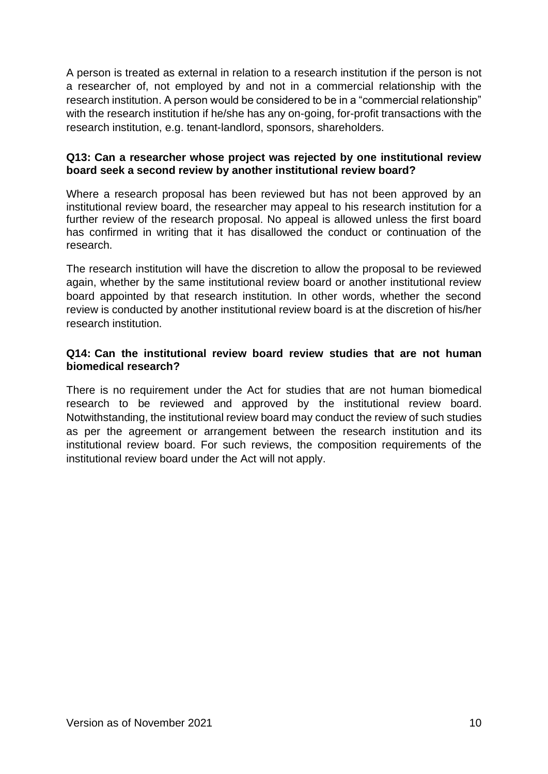A person is treated as external in relation to a research institution if the person is not a researcher of, not employed by and not in a commercial relationship with the research institution. A person would be considered to be in a "commercial relationship" with the research institution if he/she has any on-going, for-profit transactions with the research institution, e.g. tenant-landlord, sponsors, shareholders.

# **Q13: Can a researcher whose project was rejected by one institutional review board seek a second review by another institutional review board?**

Where a research proposal has been reviewed but has not been approved by an institutional review board, the researcher may appeal to his research institution for a further review of the research proposal. No appeal is allowed unless the first board has confirmed in writing that it has disallowed the conduct or continuation of the research.

The research institution will have the discretion to allow the proposal to be reviewed again, whether by the same institutional review board or another institutional review board appointed by that research institution. In other words, whether the second review is conducted by another institutional review board is at the discretion of his/her research institution.

# **Q14: Can the institutional review board review studies that are not human biomedical research?**

There is no requirement under the Act for studies that are not human biomedical research to be reviewed and approved by the institutional review board. Notwithstanding, the institutional review board may conduct the review of such studies as per the agreement or arrangement between the research institution and its institutional review board. For such reviews, the composition requirements of the institutional review board under the Act will not apply.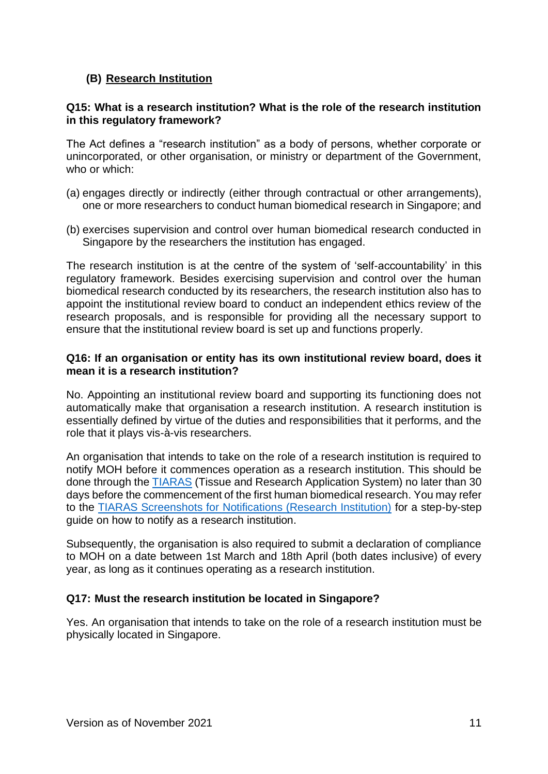# <span id="page-10-0"></span>**(B) Research Institution**

# **Q15: What is a research institution? What is the role of the research institution in this regulatory framework?**

The Act defines a "research institution" as a body of persons, whether corporate or unincorporated, or other organisation, or ministry or department of the Government, who or which:

- (a) engages directly or indirectly (either through contractual or other arrangements), one or more researchers to conduct human biomedical research in Singapore; and
- (b) exercises supervision and control over human biomedical research conducted in Singapore by the researchers the institution has engaged.

The research institution is at the centre of the system of 'self-accountability' in this regulatory framework. Besides exercising supervision and control over the human biomedical research conducted by its researchers, the research institution also has to appoint the institutional review board to conduct an independent ethics review of the research proposals, and is responsible for providing all the necessary support to ensure that the institutional review board is set up and functions properly.

## **Q16: If an organisation or entity has its own institutional review board, does it mean it is a research institution?**

No. Appointing an institutional review board and supporting its functioning does not automatically make that organisation a research institution. A research institution is essentially defined by virtue of the duties and responsibilities that it performs, and the role that it plays vis-à-vis researchers.

An organisation that intends to take on the role of a research institution is required to notify MOH before it commences operation as a research institution. This should be done through the [TIARAS](https://elis.moh.gov.sg/tiaras#!/login) (Tissue and Research Application System) no later than 30 days before the commencement of the first human biomedical research. You may refer to the TIARAS Screenshots [for Notifications \(Research Institution\)](https://www.moh.gov.sg/docs/librariesprovider5/legislation/tiaras-screenshots-for---notifications-(research-institution).pdf)) for a step-by-step guide on how to notify as a research institution.

Subsequently, the organisation is also required to submit a declaration of compliance to MOH on a date between 1st March and 18th April (both dates inclusive) of every year, as long as it continues operating as a research institution.

# **Q17: Must the research institution be located in Singapore?**

Yes. An organisation that intends to take on the role of a research institution must be physically located in Singapore.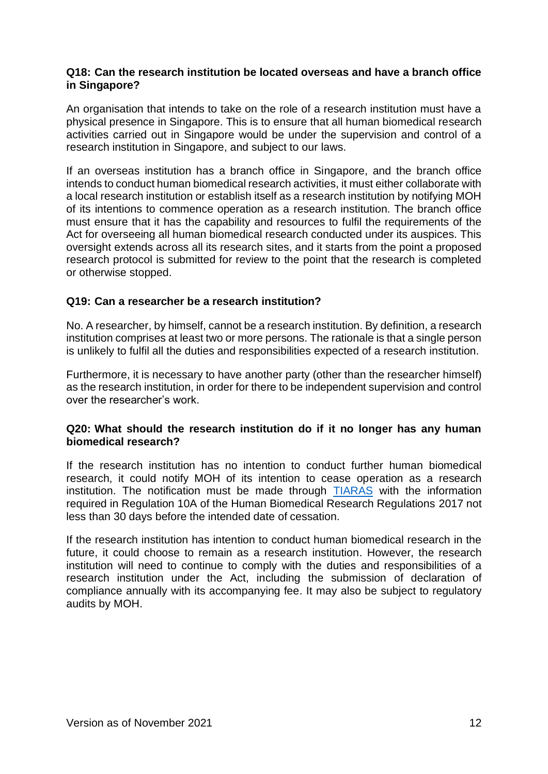#### **Q18: Can the research institution be located overseas and have a branch office in Singapore?**

An organisation that intends to take on the role of a research institution must have a physical presence in Singapore. This is to ensure that all human biomedical research activities carried out in Singapore would be under the supervision and control of a research institution in Singapore, and subject to our laws.

If an overseas institution has a branch office in Singapore, and the branch office intends to conduct human biomedical research activities, it must either collaborate with a local research institution or establish itself as a research institution by notifying MOH of its intentions to commence operation as a research institution. The branch office must ensure that it has the capability and resources to fulfil the requirements of the Act for overseeing all human biomedical research conducted under its auspices. This oversight extends across all its research sites, and it starts from the point a proposed research protocol is submitted for review to the point that the research is completed or otherwise stopped.

# **Q19: Can a researcher be a research institution?**

No. A researcher, by himself, cannot be a research institution. By definition, a research institution comprises at least two or more persons. The rationale is that a single person is unlikely to fulfil all the duties and responsibilities expected of a research institution.

Furthermore, it is necessary to have another party (other than the researcher himself) as the research institution, in order for there to be independent supervision and control over the researcher's work.

## **Q20: What should the research institution do if it no longer has any human biomedical research?**

If the research institution has no intention to conduct further human biomedical research, it could notify MOH of its intention to cease operation as a research institution. The notification must be made through [TIARAS](https://safe.menlosecurity.com/https:/elis.moh.gov.sg/tiaras#!/login) with the information required in Regulation 10A of the Human Biomedical Research Regulations 2017 not less than 30 days before the intended date of cessation.

If the research institution has intention to conduct human biomedical research in the future, it could choose to remain as a research institution. However, the research institution will need to continue to comply with the duties and responsibilities of a research institution under the Act, including the submission of declaration of compliance annually with its accompanying fee. It may also be subject to regulatory audits by MOH.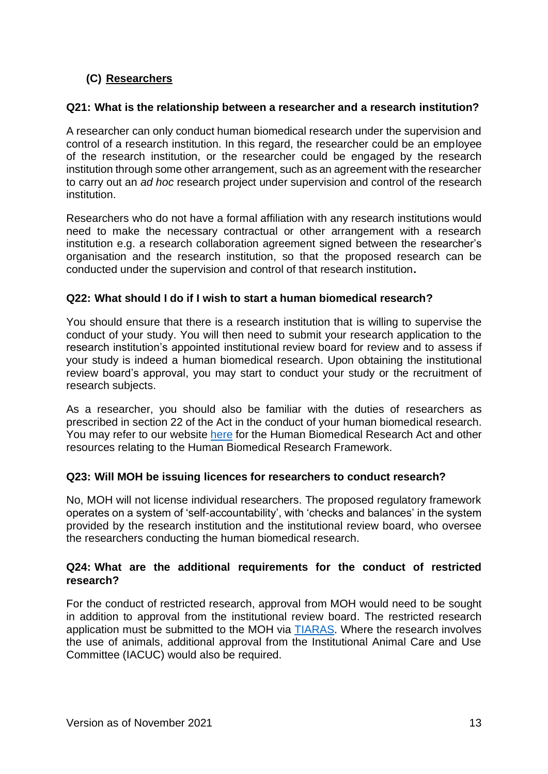# <span id="page-12-0"></span>**(C) Researchers**

## **Q21: What is the relationship between a researcher and a research institution?**

A researcher can only conduct human biomedical research under the supervision and control of a research institution. In this regard, the researcher could be an employee of the research institution, or the researcher could be engaged by the research institution through some other arrangement, such as an agreement with the researcher to carry out an *ad hoc* research project under supervision and control of the research institution.

Researchers who do not have a formal affiliation with any research institutions would need to make the necessary contractual or other arrangement with a research institution e.g. a research collaboration agreement signed between the researcher's organisation and the research institution, so that the proposed research can be conducted under the supervision and control of that research institution**.**

# **Q22: What should I do if I wish to start a human biomedical research?**

You should ensure that there is a research institution that is willing to supervise the conduct of your study. You will then need to submit your research application to the research institution's appointed institutional review board for review and to assess if your study is indeed a human biomedical research. Upon obtaining the institutional review board's approval, you may start to conduct your study or the recruitment of research subjects.

As a researcher, you should also be familiar with the duties of researchers as prescribed in section 22 of the Act in the conduct of your human biomedical research. You may refer to our website [here](https://www.moh.gov.sg/policies-and-legislation/human-biomedical-research-act) for the Human Biomedical Research Act and other resources relating to the Human Biomedical Research Framework.

## **Q23: Will MOH be issuing licences for researchers to conduct research?**

No, MOH will not license individual researchers. The proposed regulatory framework operates on a system of 'self-accountability', with 'checks and balances' in the system provided by the research institution and the institutional review board, who oversee the researchers conducting the human biomedical research.

# **Q24: What are the additional requirements for the conduct of restricted research?**

For the conduct of restricted research, approval from MOH would need to be sought in addition to approval from the institutional review board. The restricted research application must be submitted to the MOH via [TIARAS.](https://safe.menlosecurity.com/https:/elis.moh.gov.sg/tiaras#!/login) Where the research involves the use of animals, additional approval from the Institutional Animal Care and Use Committee (IACUC) would also be required.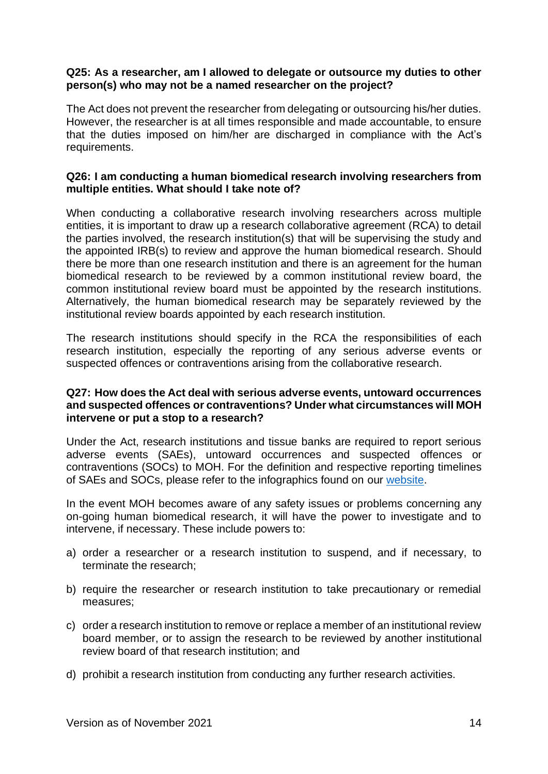#### **Q25: As a researcher, am I allowed to delegate or outsource my duties to other person(s) who may not be a named researcher on the project?**

The Act does not prevent the researcher from delegating or outsourcing his/her duties. However, the researcher is at all times responsible and made accountable, to ensure that the duties imposed on him/her are discharged in compliance with the Act's requirements.

## **Q26: I am conducting a human biomedical research involving researchers from multiple entities. What should I take note of?**

When conducting a collaborative research involving researchers across multiple entities, it is important to draw up a research collaborative agreement (RCA) to detail the parties involved, the research institution(s) that will be supervising the study and the appointed IRB(s) to review and approve the human biomedical research. Should there be more than one research institution and there is an agreement for the human biomedical research to be reviewed by a common institutional review board, the common institutional review board must be appointed by the research institutions. Alternatively, the human biomedical research may be separately reviewed by the institutional review boards appointed by each research institution.

The research institutions should specify in the RCA the responsibilities of each research institution, especially the reporting of any serious adverse events or suspected offences or contraventions arising from the collaborative research.

#### **Q27: How does the Act deal with serious adverse events, untoward occurrences and suspected offences or contraventions? Under what circumstances will MOH intervene or put a stop to a research?**

Under the Act, research institutions and tissue banks are required to report serious adverse events (SAEs), untoward occurrences and suspected offences or contraventions (SOCs) to MOH. For the definition and respective reporting timelines of SAEs and SOCs, please refer to the infographics found on our [website.](https://www.moh.gov.sg/policies-and-legislation/human-biomedical-research-act)

In the event MOH becomes aware of any safety issues or problems concerning any on-going human biomedical research, it will have the power to investigate and to intervene, if necessary. These include powers to:

- a) order a researcher or a research institution to suspend, and if necessary, to terminate the research;
- b) require the researcher or research institution to take precautionary or remedial measures;
- c) order a research institution to remove or replace a member of an institutional review board member, or to assign the research to be reviewed by another institutional review board of that research institution; and
- d) prohibit a research institution from conducting any further research activities.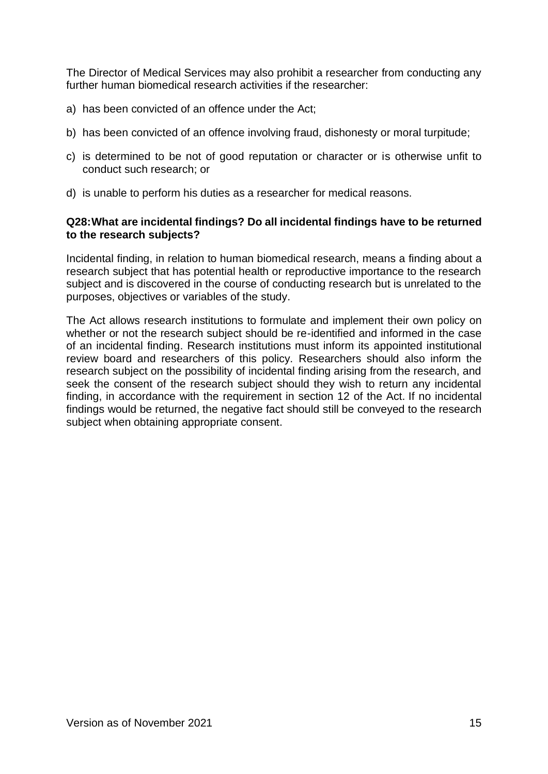The Director of Medical Services may also prohibit a researcher from conducting any further human biomedical research activities if the researcher:

- a) has been convicted of an offence under the Act;
- b) has been convicted of an offence involving fraud, dishonesty or moral turpitude;
- c) is determined to be not of good reputation or character or is otherwise unfit to conduct such research; or
- d) is unable to perform his duties as a researcher for medical reasons.

#### **Q28:What are incidental findings? Do all incidental findings have to be returned to the research subjects?**

Incidental finding, in relation to human biomedical research, means a finding about a research subject that has potential health or reproductive importance to the research subject and is discovered in the course of conducting research but is unrelated to the purposes, objectives or variables of the study.

The Act allows research institutions to formulate and implement their own policy on whether or not the research subject should be re-identified and informed in the case of an incidental finding. Research institutions must inform its appointed institutional review board and researchers of this policy. Researchers should also inform the research subject on the possibility of incidental finding arising from the research, and seek the consent of the research subject should they wish to return any incidental finding, in accordance with the requirement in section 12 of the Act. If no incidental findings would be returned, the negative fact should still be conveyed to the research subject when obtaining appropriate consent.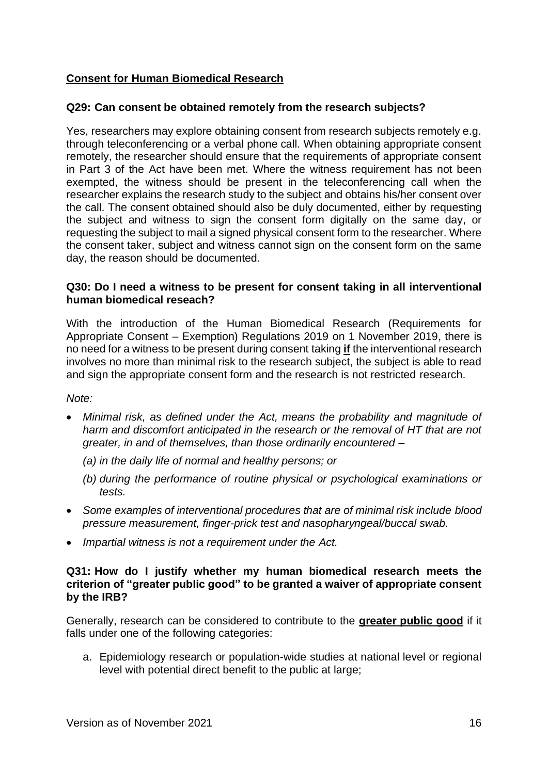# <span id="page-15-0"></span>**Consent for Human Biomedical Research**

# **Q29: Can consent be obtained remotely from the research subjects?**

Yes, researchers may explore obtaining consent from research subjects remotely e.g. through teleconferencing or a verbal phone call. When obtaining appropriate consent remotely, the researcher should ensure that the requirements of appropriate consent in Part 3 of the Act have been met. Where the witness requirement has not been exempted, the witness should be present in the teleconferencing call when the researcher explains the research study to the subject and obtains his/her consent over the call. The consent obtained should also be duly documented, either by requesting the subject and witness to sign the consent form digitally on the same day, or requesting the subject to mail a signed physical consent form to the researcher. Where the consent taker, subject and witness cannot sign on the consent form on the same day, the reason should be documented.

## **Q30: Do I need a witness to be present for consent taking in all interventional human biomedical reseach?**

With the introduction of the Human Biomedical Research (Requirements for Appropriate Consent – Exemption) Regulations 2019 on 1 November 2019, there is no need for a witness to be present during consent taking **if** the interventional research involves no more than minimal risk to the research subject, the subject is able to read and sign the appropriate consent form and the research is not restricted research.

*Note:* 

- *Minimal risk, as defined under the Act, means the probability and magnitude of harm and discomfort anticipated in the research or the removal of HT that are not greater, in and of themselves, than those ordinarily encountered –*
	- *(a) in the daily life of normal and healthy persons; or*
	- *(b) during the performance of routine physical or psychological examinations or tests.*
- Some examples of interventional procedures that are of minimal risk include blood *pressure measurement, finger-prick test and nasopharyngeal/buccal swab.*
- *Impartial witness is not a requirement under the Act.*

# **Q31: How do I justify whether my human biomedical research meets the criterion of "greater public good" to be granted a waiver of appropriate consent by the IRB?**

Generally, research can be considered to contribute to the **greater public good** if it falls under one of the following categories:

a. Epidemiology research or population-wide studies at national level or regional level with potential direct benefit to the public at large;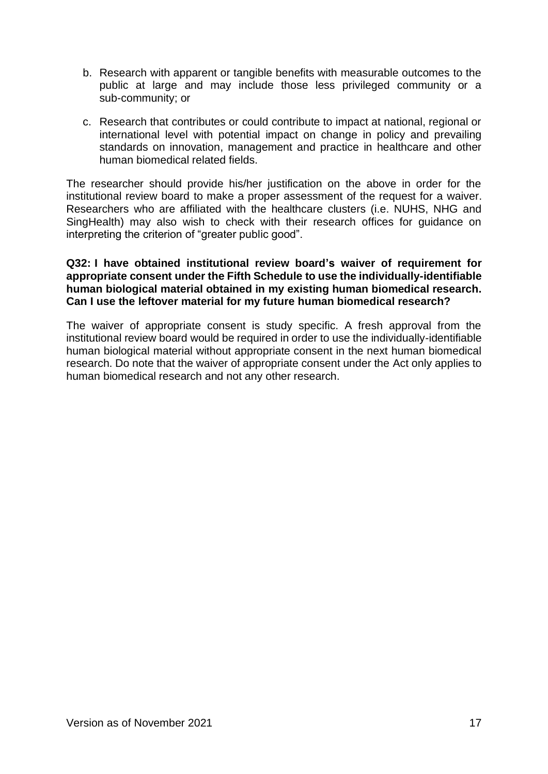- b. Research with apparent or tangible benefits with measurable outcomes to the public at large and may include those less privileged community or a sub-community; or
- c. Research that contributes or could contribute to impact at national, regional or international level with potential impact on change in policy and prevailing standards on innovation, management and practice in healthcare and other human biomedical related fields.

The researcher should provide his/her justification on the above in order for the institutional review board to make a proper assessment of the request for a waiver. Researchers who are affiliated with the healthcare clusters (i.e. NUHS, NHG and SingHealth) may also wish to check with their research offices for guidance on interpreting the criterion of "greater public good".

### **Q32: I have obtained institutional review board's waiver of requirement for appropriate consent under the Fifth Schedule to use the individually-identifiable human biological material obtained in my existing human biomedical research. Can I use the leftover material for my future human biomedical research?**

The waiver of appropriate consent is study specific. A fresh approval from the institutional review board would be required in order to use the individually-identifiable human biological material without appropriate consent in the next human biomedical research. Do note that the waiver of appropriate consent under the Act only applies to human biomedical research and not any other research.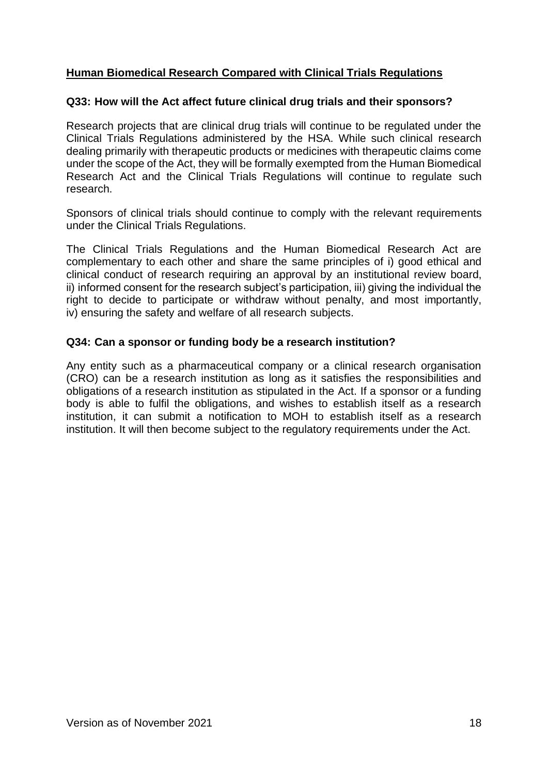# <span id="page-17-0"></span>**Human Biomedical Research Compared with Clinical Trials Regulations**

# **Q33: How will the Act affect future clinical drug trials and their sponsors?**

Research projects that are clinical drug trials will continue to be regulated under the Clinical Trials Regulations administered by the HSA. While such clinical research dealing primarily with therapeutic products or medicines with therapeutic claims come under the scope of the Act, they will be formally exempted from the Human Biomedical Research Act and the Clinical Trials Regulations will continue to regulate such research.

Sponsors of clinical trials should continue to comply with the relevant requirements under the Clinical Trials Regulations.

The Clinical Trials Regulations and the Human Biomedical Research Act are complementary to each other and share the same principles of i) good ethical and clinical conduct of research requiring an approval by an institutional review board, ii) informed consent for the research subject's participation, iii) giving the individual the right to decide to participate or withdraw without penalty, and most importantly, iv) ensuring the safety and welfare of all research subjects.

# **Q34: Can a sponsor or funding body be a research institution?**

Any entity such as a pharmaceutical company or a clinical research organisation (CRO) can be a research institution as long as it satisfies the responsibilities and obligations of a research institution as stipulated in the Act. If a sponsor or a funding body is able to fulfil the obligations, and wishes to establish itself as a research institution, it can submit a notification to MOH to establish itself as a research institution. It will then become subject to the regulatory requirements under the Act.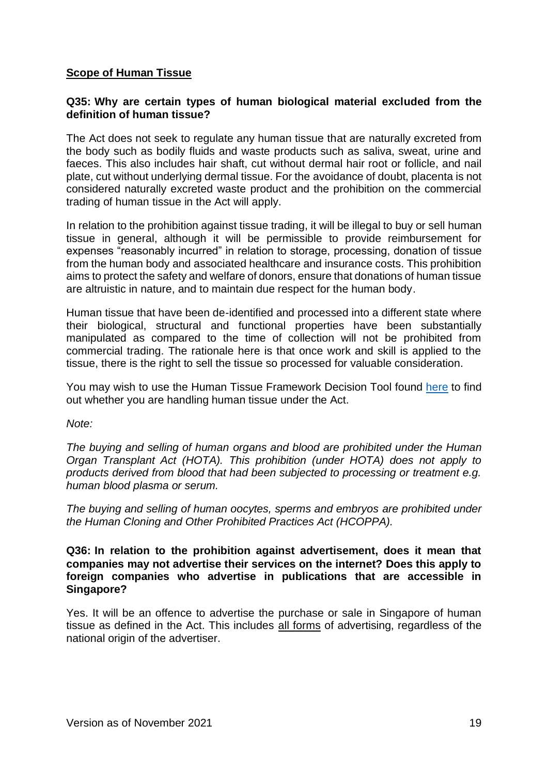# <span id="page-18-0"></span>**Scope of Human Tissue**

## **Q35: Why are certain types of human biological material excluded from the definition of human tissue?**

The Act does not seek to regulate any human tissue that are naturally excreted from the body such as bodily fluids and waste products such as saliva, sweat, urine and faeces. This also includes hair shaft, cut without dermal hair root or follicle, and nail plate, cut without underlying dermal tissue. For the avoidance of doubt, placenta is not considered naturally excreted waste product and the prohibition on the commercial trading of human tissue in the Act will apply.

In relation to the prohibition against tissue trading, it will be illegal to buy or sell human tissue in general, although it will be permissible to provide reimbursement for expenses "reasonably incurred" in relation to storage, processing, donation of tissue from the human body and associated healthcare and insurance costs. This prohibition aims to protect the safety and welfare of donors, ensure that donations of human tissue are altruistic in nature, and to maintain due respect for the human body.

Human tissue that have been de-identified and processed into a different state where their biological, structural and functional properties have been substantially manipulated as compared to the time of collection will not be prohibited from commercial trading. The rationale here is that once work and skill is applied to the tissue, there is the right to sell the tissue so processed for valuable consideration.

You may wish to use the Human Tissue Framework Decision Tool found [here](https://www.moh.gov.sg/policies-and-legislation/human-biomedical-research-act/decision-tool-on-the-human-tissue-framework) to find out whether you are handling human tissue under the Act.

*Note:* 

*The buying and selling of human organs and blood are prohibited under the Human Organ Transplant Act (HOTA). This prohibition (under HOTA) does not apply to products derived from blood that had been subjected to processing or treatment e.g. human blood plasma or serum.*

*The buying and selling of human oocytes, sperms and embryos are prohibited under the Human Cloning and Other Prohibited Practices Act (HCOPPA).*

**Q36: In relation to the prohibition against advertisement, does it mean that companies may not advertise their services on the internet? Does this apply to foreign companies who advertise in publications that are accessible in Singapore?** 

Yes. It will be an offence to advertise the purchase or sale in Singapore of human tissue as defined in the Act. This includes all forms of advertising, regardless of the national origin of the advertiser.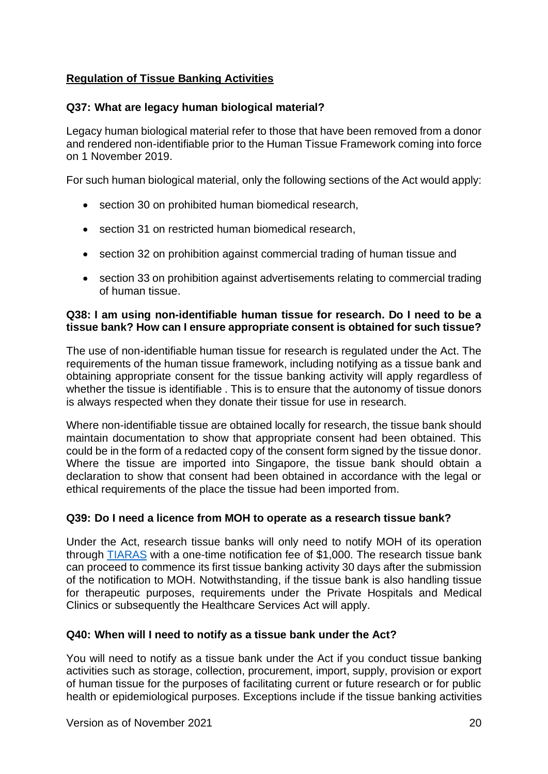# <span id="page-19-0"></span>**Regulation of Tissue Banking Activities**

# **Q37: What are legacy human biological material?**

Legacy human biological material refer to those that have been removed from a donor and rendered non-identifiable prior to the Human Tissue Framework coming into force on 1 November 2019.

For such human biological material, only the following sections of the Act would apply:

- section 30 on prohibited human biomedical research,
- section 31 on restricted human biomedical research,
- section 32 on prohibition against commercial trading of human tissue and
- section 33 on prohibition against advertisements relating to commercial trading of human tissue.

#### **Q38: I am using non-identifiable human tissue for research. Do I need to be a tissue bank? How can I ensure appropriate consent is obtained for such tissue?**

The use of non-identifiable human tissue for research is regulated under the Act. The requirements of the human tissue framework, including notifying as a tissue bank and obtaining appropriate consent for the tissue banking activity will apply regardless of whether the tissue is identifiable . This is to ensure that the autonomy of tissue donors is always respected when they donate their tissue for use in research.

Where non-identifiable tissue are obtained locally for research, the tissue bank should maintain documentation to show that appropriate consent had been obtained. This could be in the form of a redacted copy of the consent form signed by the tissue donor. Where the tissue are imported into Singapore, the tissue bank should obtain a declaration to show that consent had been obtained in accordance with the legal or ethical requirements of the place the tissue had been imported from.

## **Q39: Do I need a licence from MOH to operate as a research tissue bank?**

Under the Act, research tissue banks will only need to notify MOH of its operation through **TIARAS** with a one-time notification fee of \$1,000. The research tissue bank can proceed to commence its first tissue banking activity 30 days after the submission of the notification to MOH. Notwithstanding, if the tissue bank is also handling tissue for therapeutic purposes, requirements under the Private Hospitals and Medical Clinics or subsequently the Healthcare Services Act will apply.

## **Q40: When will I need to notify as a tissue bank under the Act?**

You will need to notify as a tissue bank under the Act if you conduct tissue banking activities such as storage, collection, procurement, import, supply, provision or export of human tissue for the purposes of facilitating current or future research or for public health or epidemiological purposes. Exceptions include if the tissue banking activities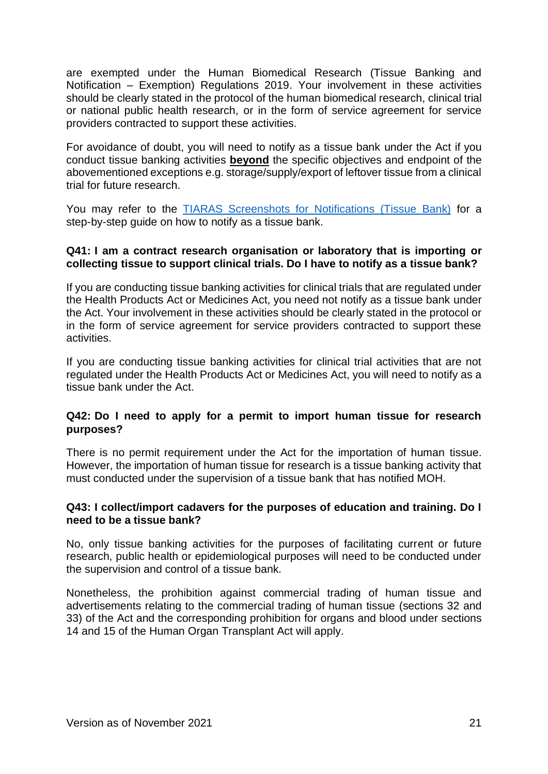are exempted under the Human Biomedical Research (Tissue Banking and Notification – Exemption) Regulations 2019. Your involvement in these activities should be clearly stated in the protocol of the human biomedical research, clinical trial or national public health research, or in the form of service agreement for service providers contracted to support these activities.

For avoidance of doubt, you will need to notify as a tissue bank under the Act if you conduct tissue banking activities **beyond** the specific objectives and endpoint of the abovementioned exceptions e.g. storage/supply/export of leftover tissue from a clinical trial for future research.

You may refer to the **TIARAS** Screenshots [for Notifications \(Tissue Bank\)](https://www.moh.gov.sg/docs/librariesprovider5/legislation/tiaras-screenshots-for---notifications-(tissue-bank)) for a step-by-step guide on how to notify as a tissue bank.

## **Q41: I am a contract research organisation or laboratory that is importing or collecting tissue to support clinical trials. Do I have to notify as a tissue bank?**

If you are conducting tissue banking activities for clinical trials that are regulated under the Health Products Act or Medicines Act, you need not notify as a tissue bank under the Act. Your involvement in these activities should be clearly stated in the protocol or in the form of service agreement for service providers contracted to support these activities.

If you are conducting tissue banking activities for clinical trial activities that are not regulated under the Health Products Act or Medicines Act, you will need to notify as a tissue bank under the Act.

# **Q42: Do I need to apply for a permit to import human tissue for research purposes?**

There is no permit requirement under the Act for the importation of human tissue. However, the importation of human tissue for research is a tissue banking activity that must conducted under the supervision of a tissue bank that has notified MOH.

## **Q43: I collect/import cadavers for the purposes of education and training. Do I need to be a tissue bank?**

No, only tissue banking activities for the purposes of facilitating current or future research, public health or epidemiological purposes will need to be conducted under the supervision and control of a tissue bank.

Nonetheless, the prohibition against commercial trading of human tissue and advertisements relating to the commercial trading of human tissue (sections 32 and 33) of the Act and the corresponding prohibition for organs and blood under sections 14 and 15 of the Human Organ Transplant Act will apply.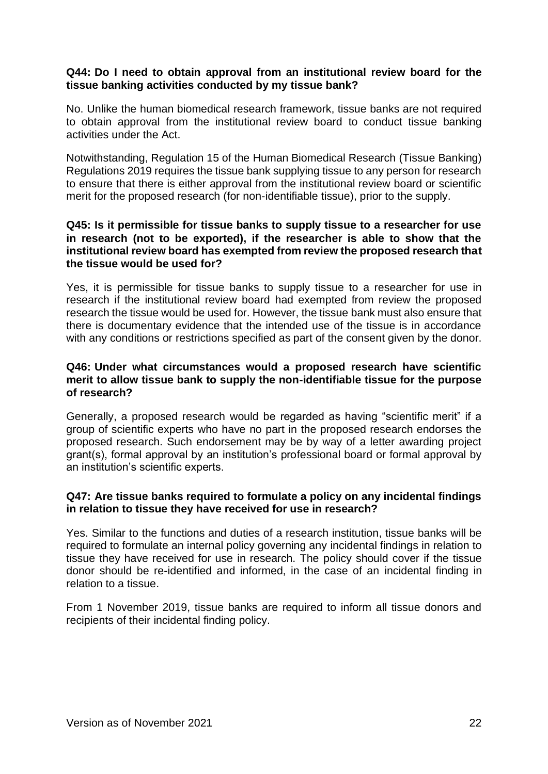### **Q44: Do I need to obtain approval from an institutional review board for the tissue banking activities conducted by my tissue bank?**

No. Unlike the human biomedical research framework, tissue banks are not required to obtain approval from the institutional review board to conduct tissue banking activities under the Act.

Notwithstanding, Regulation 15 of the Human Biomedical Research (Tissue Banking) Regulations 2019 requires the tissue bank supplying tissue to any person for research to ensure that there is either approval from the institutional review board or scientific merit for the proposed research (for non-identifiable tissue), prior to the supply.

#### **Q45: Is it permissible for tissue banks to supply tissue to a researcher for use in research (not to be exported), if the researcher is able to show that the institutional review board has exempted from review the proposed research that the tissue would be used for?**

Yes, it is permissible for tissue banks to supply tissue to a researcher for use in research if the institutional review board had exempted from review the proposed research the tissue would be used for. However, the tissue bank must also ensure that there is documentary evidence that the intended use of the tissue is in accordance with any conditions or restrictions specified as part of the consent given by the donor.

## **Q46: Under what circumstances would a proposed research have scientific merit to allow tissue bank to supply the non-identifiable tissue for the purpose of research?**

Generally, a proposed research would be regarded as having "scientific merit" if a group of scientific experts who have no part in the proposed research endorses the proposed research. Such endorsement may be by way of a letter awarding project grant(s), formal approval by an institution's professional board or formal approval by an institution's scientific experts.

#### **Q47: Are tissue banks required to formulate a policy on any incidental findings in relation to tissue they have received for use in research?**

Yes. Similar to the functions and duties of a research institution, tissue banks will be required to formulate an internal policy governing any incidental findings in relation to tissue they have received for use in research. The policy should cover if the tissue donor should be re-identified and informed, in the case of an incidental finding in relation to a tissue.

From 1 November 2019, tissue banks are required to inform all tissue donors and recipients of their incidental finding policy.